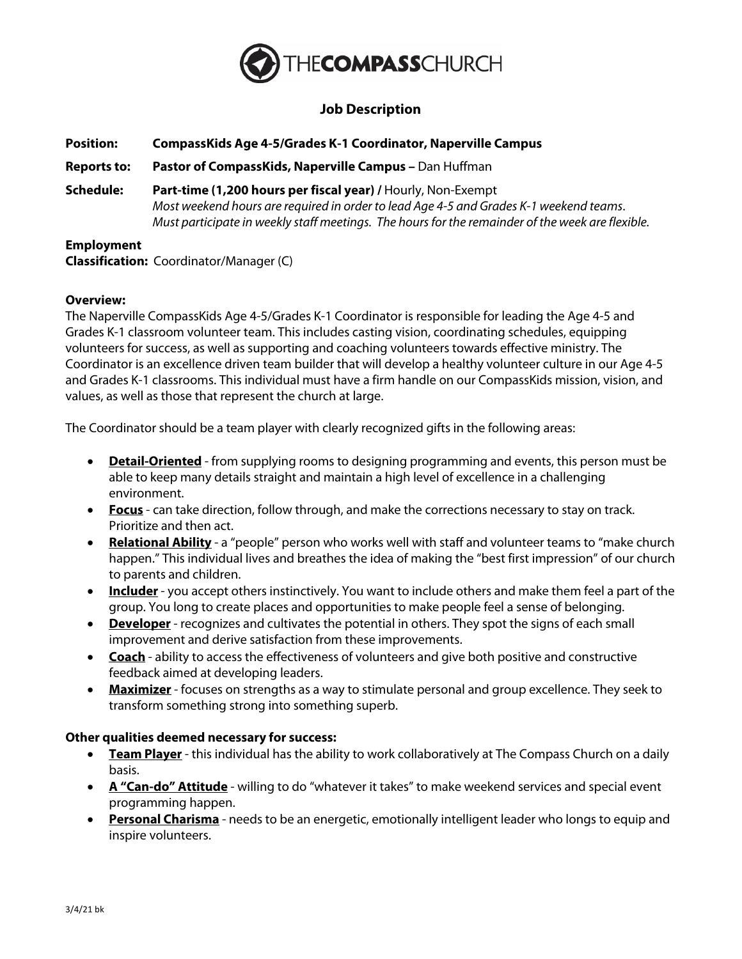

# **Job Description**

| <b>Position:</b>   | <b>CompassKids Age 4-5/Grades K-1 Coordinator, Naperville Campus</b>                                                                                                                                                                                       |
|--------------------|------------------------------------------------------------------------------------------------------------------------------------------------------------------------------------------------------------------------------------------------------------|
| <b>Reports to:</b> | Pastor of CompassKids, Naperville Campus - Dan Huffman                                                                                                                                                                                                     |
| Schedule:          | Part-time (1,200 hours per fiscal year) / Hourly, Non-Exempt<br>Most weekend hours are required in order to lead Age 4-5 and Grades K-1 weekend teams.<br>Must participate in weekly staff meetings. The hours for the remainder of the week are flexible. |
| <b>Employment</b>  |                                                                                                                                                                                                                                                            |

**Classification:** Coordinator/Manager (C)

#### **Overview:**

The Naperville CompassKids Age 4-5/Grades K-1 Coordinator is responsible for leading the Age 4-5 and Grades K-1 classroom volunteer team. This includes casting vision, coordinating schedules, equipping volunteers for success, as well as supporting and coaching volunteers towards effective ministry. The Coordinator is an excellence driven team builder that will develop a healthy volunteer culture in our Age 4-5 and Grades K-1 classrooms. This individual must have a firm handle on our CompassKids mission, vision, and values, as well as those that represent the church at large.

The Coordinator should be a team player with clearly recognized gifts in the following areas:

- **Detail-Oriented** from supplying rooms to designing programming and events, this person must be able to keep many details straight and maintain a high level of excellence in a challenging environment.
- **Focus** can take direction, follow through, and make the corrections necessary to stay on track. Prioritize and then act.
- **Relational Ability** a "people" person who works well with staff and volunteer teams to "make church happen." This individual lives and breathes the idea of making the "best first impression" of our church to parents and children.
- **Includer** you accept others instinctively. You want to include others and make them feel a part of the group. You long to create places and opportunities to make people feel a sense of belonging.
- **Developer** recognizes and cultivates the potential in others. They spot the signs of each small improvement and derive satisfaction from these improvements.
- **Coach** ability to access the effectiveness of volunteers and give both positive and constructive feedback aimed at developing leaders.
- **Maximizer** focuses on strengths as a way to stimulate personal and group excellence. They seek to transform something strong into something superb.

#### **Other qualities deemed necessary for success:**

- **Team Player** this individual has the ability to work collaboratively at The Compass Church on a daily basis.
- **A "Can-do" Attitude** willing to do "whatever it takes" to make weekend services and special event programming happen.
- **Personal Charisma** needs to be an energetic, emotionally intelligent leader who longs to equip and inspire volunteers.